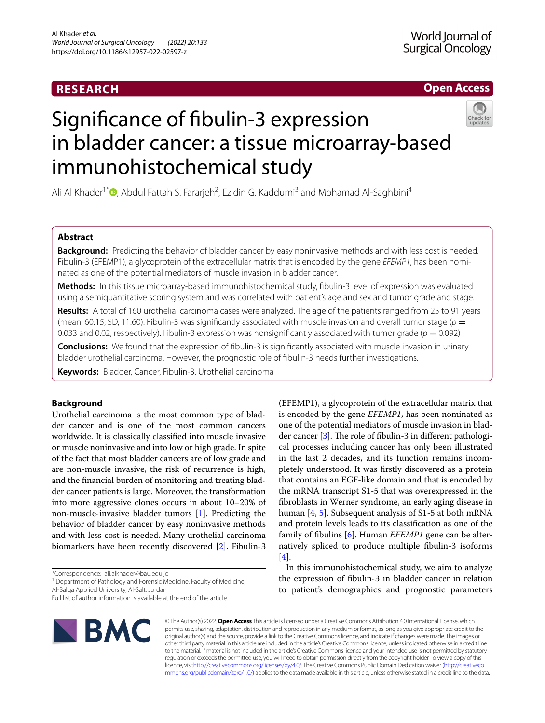# **RESEARCH**

# **Open Access**



# Signifcance of fbulin-3 expression in bladder cancer: a tissue microarray-based immunohistochemical study

Ali Al Khader<sup>1\*</sup><sup>®</sup>[,](http://orcid.org/0000-0001-8453-3629) Abdul Fattah S. Fararjeh<sup>2</sup>, Ezidin G. Kaddumi<sup>3</sup> and Mohamad Al-Saghbini<sup>4</sup>

# **Abstract**

**Background:** Predicting the behavior of bladder cancer by easy noninvasive methods and with less cost is needed. Fibulin-3 (EFEMP1), a glycoprotein of the extracellular matrix that is encoded by the gene *EFEMP1*, has been nominated as one of the potential mediators of muscle invasion in bladder cancer.

**Methods:** In this tissue microarray-based immunohistochemical study, fbulin-3 level of expression was evaluated using a semiquantitative scoring system and was correlated with patient's age and sex and tumor grade and stage.

**Results:** A total of 160 urothelial carcinoma cases were analyzed. The age of the patients ranged from 25 to 91 years (mean, 60.15; SD, 11.60). Fibulin-3 was signifcantly associated with muscle invasion and overall tumor stage (*p* = 0.033 and 0.02, respectively). Fibulin-3 expression was nonsignificantly associated with tumor grade ( $p = 0.092$ )

**Conclusions:** We found that the expression of fbulin-3 is signifcantly associated with muscle invasion in urinary bladder urothelial carcinoma. However, the prognostic role of fbulin-3 needs further investigations.

**Keywords:** Bladder, Cancer, Fibulin-3, Urothelial carcinoma

# **Background**

Urothelial carcinoma is the most common type of bladder cancer and is one of the most common cancers worldwide. It is classically classifed into muscle invasive or muscle noninvasive and into low or high grade. In spite of the fact that most bladder cancers are of low grade and are non-muscle invasive, the risk of recurrence is high, and the fnancial burden of monitoring and treating bladder cancer patients is large. Moreover, the transformation into more aggressive clones occurs in about 10–20% of non-muscle-invasive bladder tumors [[1\]](#page-4-0). Predicting the behavior of bladder cancer by easy noninvasive methods and with less cost is needed. Many urothelial carcinoma biomarkers have been recently discovered [\[2](#page-4-1)]. Fibulin-3

\*Correspondence: ali.alkhader@bau.edu.jo

<sup>1</sup> Department of Pathology and Forensic Medicine, Faculty of Medicine,

Al-Balqa Applied University, Al‑Salt, Jordan

Full list of author information is available at the end of the article



(EFEMP1), a glycoprotein of the extracellular matrix that is encoded by the gene *EFEMP1*, has been nominated as one of the potential mediators of muscle invasion in bladder cancer  $[3]$  $[3]$ . The role of fibulin-3 in different pathological processes including cancer has only been illustrated in the last 2 decades, and its function remains incompletely understood. It was frstly discovered as a protein that contains an EGF-like domain and that is encoded by the mRNA transcript S1-5 that was overexpressed in the fbroblasts in Werner syndrome, an early aging disease in human [\[4](#page-4-3), [5\]](#page-4-4). Subsequent analysis of S1-5 at both mRNA and protein levels leads to its classifcation as one of the family of fbulins [[6\]](#page-4-5). Human *EFEMP1* gene can be alternatively spliced to produce multiple fbulin-3 isoforms [[4\]](#page-4-3).

In this immunohistochemical study, we aim to analyze the expression of fbulin-3 in bladder cancer in relation to patient's demographics and prognostic parameters

© The Author(s) 2022. **Open Access** This article is licensed under a Creative Commons Attribution 4.0 International License, which permits use, sharing, adaptation, distribution and reproduction in any medium or format, as long as you give appropriate credit to the original author(s) and the source, provide a link to the Creative Commons licence, and indicate if changes were made. The images or other third party material in this article are included in the article's Creative Commons licence, unless indicated otherwise in a credit line to the material. If material is not included in the article's Creative Commons licence and your intended use is not permitted by statutory regulation or exceeds the permitted use, you will need to obtain permission directly from the copyright holder. To view a copy of this licence, visi[thttp://creativecommons.org/licenses/by/4.0/](http://creativecommons.org/licenses/by/4.0/). The Creative Commons Public Domain Dedication waiver [\(http://creativeco](http://creativecommons.org/publicdomain/zero/1.0/) [mmons.org/publicdomain/zero/1.0/](http://creativecommons.org/publicdomain/zero/1.0/)) applies to the data made available in this article, unless otherwise stated in a credit line to the data.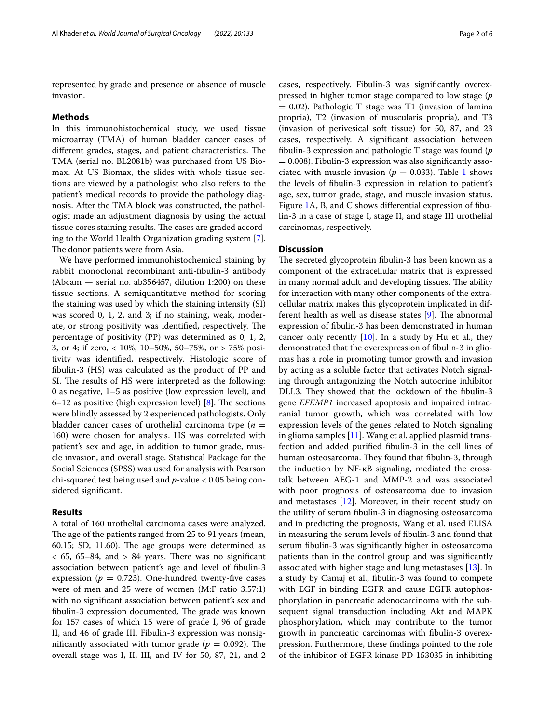represented by grade and presence or absence of muscle invasion.

#### **Methods**

In this immunohistochemical study, we used tissue microarray (TMA) of human bladder cancer cases of different grades, stages, and patient characteristics. The TMA (serial no. BL2081b) was purchased from US Biomax. At US Biomax, the slides with whole tissue sections are viewed by a pathologist who also refers to the patient's medical records to provide the pathology diagnosis. After the TMA block was constructed, the pathologist made an adjustment diagnosis by using the actual tissue cores staining results. The cases are graded according to the World Health Organization grading system [\[7](#page-4-6)]. The donor patients were from Asia.

We have performed immunohistochemical staining by rabbit monoclonal recombinant anti-fbulin-3 antibody (Abcam — serial no. ab356457, dilution 1:200) on these tissue sections. A semiquantitative method for scoring the staining was used by which the staining intensity (SI) was scored 0, 1, 2, and 3; if no staining, weak, moderate, or strong positivity was identified, respectively. The percentage of positivity (PP) was determined as 0, 1, 2, 3, or 4; if zero, < 10%, 10–50%, 50–75%, or > 75% positivity was identifed, respectively. Histologic score of fbulin-3 (HS) was calculated as the product of PP and SI. The results of HS were interpreted as the following: 0 as negative, 1–5 as positive (low expression level), and 6–12 as positive (high expression level)  $[8]$  $[8]$  $[8]$ . The sections were blindly assessed by 2 experienced pathologists. Only bladder cancer cases of urothelial carcinoma type  $(n =$ 160) were chosen for analysis. HS was correlated with patient's sex and age, in addition to tumor grade, muscle invasion, and overall stage. Statistical Package for the Social Sciences (SPSS) was used for analysis with Pearson chi-squared test being used and *p*-value < 0.05 being considered signifcant.

# **Results**

A total of 160 urothelial carcinoma cases were analyzed. The age of the patients ranged from 25 to 91 years (mean, 60.15; SD, 11.60). The age groups were determined as  $<$  65, 65–84, and  $> 84$  years. There was no significant association between patient's age and level of fbulin-3 expression ( $p = 0.723$ ). One-hundred twenty-five cases were of men and 25 were of women (M:F ratio 3.57:1) with no signifcant association between patient's sex and fibulin-3 expression documented. The grade was known for 157 cases of which 15 were of grade I, 96 of grade II, and 46 of grade III. Fibulin-3 expression was nonsignificantly associated with tumor grade ( $p = 0.092$ ). The overall stage was I, II, III, and IV for 50, 87, 21, and 2

cases, respectively. Fibulin-3 was signifcantly overexpressed in higher tumor stage compared to low stage (*p*  $= 0.02$ ). Pathologic T stage was T1 (invasion of lamina propria), T2 (invasion of muscularis propria), and T3 (invasion of perivesical soft tissue) for 50, 87, and 23 cases, respectively. A signifcant association between fbulin-3 expression and pathologic T stage was found (*p*  $= 0.008$ ). Fibulin-3 expression was also significantly associated with muscle invasion ( $p = 0.033$ ). Table [1](#page-2-0) shows the levels of fbulin-3 expression in relation to patient's age, sex, tumor grade, stage, and muscle invasion status. Figure [1](#page-3-0)A, B, and C shows diferential expression of fbulin-3 in a case of stage I, stage II, and stage III urothelial carcinomas, respectively.

# **Discussion**

The secreted glycoprotein fibulin-3 has been known as a component of the extracellular matrix that is expressed in many normal adult and developing tissues. The ability for interaction with many other components of the extracellular matrix makes this glycoprotein implicated in different health as well as disease states  $[9]$  $[9]$ . The abnormal expression of fbulin-3 has been demonstrated in human cancer only recently  $[10]$ . In a study by Hu et al., they demonstrated that the overexpression of fbulin-3 in gliomas has a role in promoting tumor growth and invasion by acting as a soluble factor that activates Notch signaling through antagonizing the Notch autocrine inhibitor DLL3. They showed that the lockdown of the fibulin-3 gene *EFEMP1* increased apoptosis and impaired intracranial tumor growth, which was correlated with low expression levels of the genes related to Notch signaling in glioma samples [[11\]](#page-4-10). Wang et al. applied plasmid transfection and added purifed fbulin-3 in the cell lines of human osteosarcoma. They found that fibulin-3, through the induction by NF-κB signaling, mediated the crosstalk between AEG-1 and MMP-2 and was associated with poor prognosis of osteosarcoma due to invasion and metastases [[12](#page-4-11)]. Moreover, in their recent study on the utility of serum fbulin-3 in diagnosing osteosarcoma and in predicting the prognosis, Wang et al. used ELISA in measuring the serum levels of fbulin-3 and found that serum fbulin-3 was signifcantly higher in osteosarcoma patients than in the control group and was signifcantly associated with higher stage and lung metastases [[13\]](#page-4-12). In a study by Camaj et al., fbulin-3 was found to compete with EGF in binding EGFR and cause EGFR autophosphorylation in pancreatic adenocarcinoma with the subsequent signal transduction including Akt and MAPK phosphorylation, which may contribute to the tumor growth in pancreatic carcinomas with fbulin-3 overexpression. Furthermore, these fndings pointed to the role of the inhibitor of EGFR kinase PD 153035 in inhibiting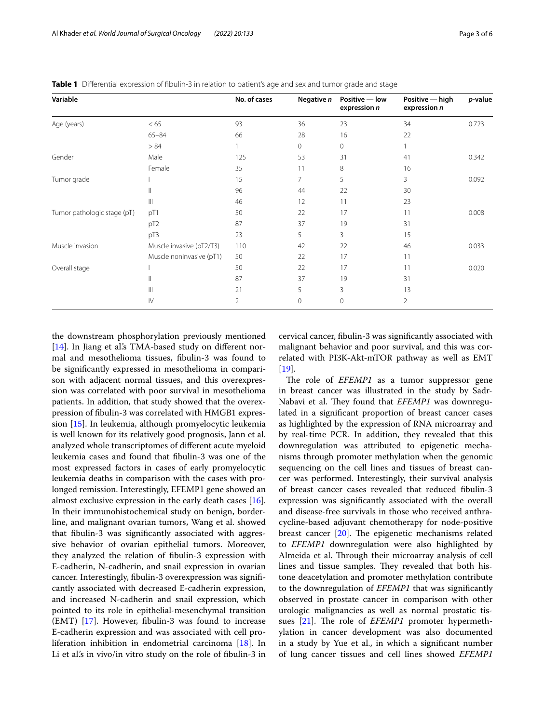<span id="page-2-0"></span>**Table 1** Differential expression of fibulin-3 in relation to patient's age and sex and tumor grade and stage

| Variable                    |                          | No. of cases | Negative n | Positive - low<br>expression n | Positive — high<br>expression n | p-value |
|-----------------------------|--------------------------|--------------|------------|--------------------------------|---------------------------------|---------|
| Age (years)                 | < 65                     | 93           | 36         | 23                             | 34                              | 0.723   |
|                             | $65 - 84$                | 66           | 28         | 16                             | 22                              |         |
|                             | > 84                     |              | 0          | 0                              |                                 |         |
| Gender                      | Male                     | 125          | 53         | 31                             | 41                              | 0.342   |
|                             | Female                   | 35           | 11         | 8                              | 16                              |         |
| Tumor grade                 |                          | 15           | 7          | 5                              | 3                               | 0.092   |
|                             | Ш                        | 96           | 44         | 22                             | 30                              |         |
|                             | Ш                        | 46           | 12         | 11                             | 23                              |         |
| Tumor pathologic stage (pT) | pT1                      | 50           | 22         | 17                             | 11                              | 0.008   |
|                             | pT <sub>2</sub>          | 87           | 37         | 19                             | 31                              |         |
|                             | pT3                      | 23           | 5          | 3                              | 15                              |         |
| Muscle invasion             | Muscle invasive (pT2/T3) | 110          | 42         | 22                             | 46                              | 0.033   |
|                             | Muscle noninvasive (pT1) | 50           | 22         | 17                             | 11                              |         |
| Overall stage               |                          | 50           | 22         | 17                             | 11                              | 0.020   |
|                             | $\mathbf{  }$            | 87           | 37         | 19                             | 31                              |         |
|                             | $\mathbb{H}$             | 21           | 5          | 3                              | 13                              |         |
|                             | $\mathsf{IV}$            | 2            | 0          | 0                              | $\overline{2}$                  |         |

the downstream phosphorylation previously mentioned [[14\]](#page-4-13). In Jiang et al's TMA-based study on different normal and mesothelioma tissues, fbulin-3 was found to be signifcantly expressed in mesothelioma in comparison with adjacent normal tissues, and this overexpression was correlated with poor survival in mesothelioma patients. In addition, that study showed that the overexpression of fbulin-3 was correlated with HMGB1 expression [[15\]](#page-4-14). In leukemia, although promyelocytic leukemia is well known for its relatively good prognosis, Jann et al. analyzed whole transcriptomes of diferent acute myeloid leukemia cases and found that fbulin-3 was one of the most expressed factors in cases of early promyelocytic leukemia deaths in comparison with the cases with prolonged remission. Interestingly, EFEMP1 gene showed an almost exclusive expression in the early death cases [\[16](#page-4-15)]. In their immunohistochemical study on benign, borderline, and malignant ovarian tumors, Wang et al. showed that fbulin-3 was signifcantly associated with aggressive behavior of ovarian epithelial tumors. Moreover, they analyzed the relation of fbulin-3 expression with E-cadherin, N-cadherin, and snail expression in ovarian cancer. Interestingly, fbulin-3 overexpression was signifcantly associated with decreased E-cadherin expression, and increased N-cadherin and snail expression, which pointed to its role in epithelial-mesenchymal transition  $(EMT)$  [[17](#page-4-16)]. However, fibulin-3 was found to increase E-cadherin expression and was associated with cell proliferation inhibition in endometrial carcinoma [[18\]](#page-5-0). In Li et al.'s in vivo/in vitro study on the role of fbulin-3 in

cervical cancer, fbulin-3 was signifcantly associated with malignant behavior and poor survival, and this was correlated with PI3K-Akt-mTOR pathway as well as EMT [[19\]](#page-5-1).

The role of *EFEMP1* as a tumor suppressor gene in breast cancer was illustrated in the study by Sadr-Nabavi et al. They found that *EFEMP1* was downregulated in a signifcant proportion of breast cancer cases as highlighted by the expression of RNA microarray and by real-time PCR. In addition, they revealed that this downregulation was attributed to epigenetic mechanisms through promoter methylation when the genomic sequencing on the cell lines and tissues of breast cancer was performed. Interestingly, their survival analysis of breast cancer cases revealed that reduced fbulin-3 expression was signifcantly associated with the overall and disease-free survivals in those who received anthracycline-based adjuvant chemotherapy for node-positive breast cancer  $[20]$  $[20]$ . The epigenetic mechanisms related to *EFEMP1* downregulation were also highlighted by Almeida et al. Through their microarray analysis of cell lines and tissue samples. They revealed that both histone deacetylation and promoter methylation contribute to the downregulation of *EFEMP1* that was signifcantly observed in prostate cancer in comparison with other urologic malignancies as well as normal prostatic tis-sues [\[21](#page-5-3)]. The role of *EFEMP1* promoter hypermethylation in cancer development was also documented in a study by Yue et al., in which a signifcant number of lung cancer tissues and cell lines showed *EFEMP1*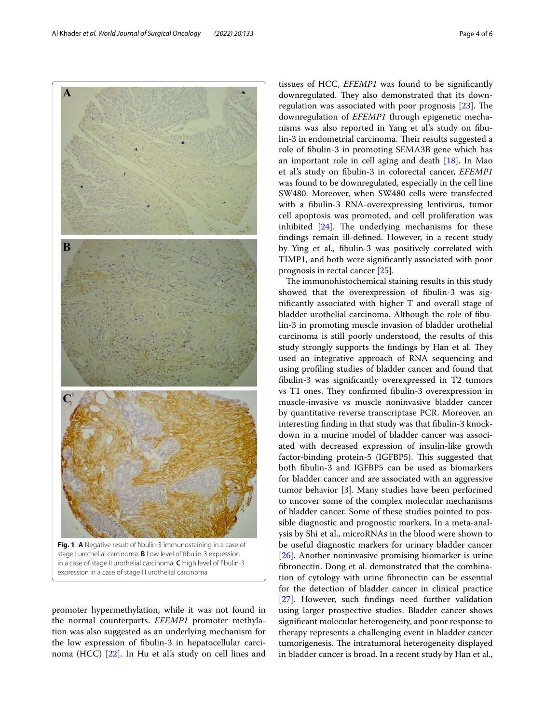<span id="page-3-0"></span>promoter hypermethylation, while it was not found in the normal counterparts. *EFEMP1* promoter methylation was also suggested as an underlying mechanism for the low expression of fbulin-3 in hepatocellular carci-noma (HCC) [\[22](#page-5-4)]. In Hu et al's study on cell lines and prognosis in rectal cancer [\[25](#page-5-7)]. The immunohistochemical staining results in this study showed that the overexpression of fbulin-3 was signifcantly associated with higher T and overall stage of bladder urothelial carcinoma. Although the role of fbulin-3 in promoting muscle invasion of bladder urothelial carcinoma is still poorly understood, the results of this study strongly supports the findings by Han et al. They used an integrative approach of RNA sequencing and using profling studies of bladder cancer and found that fbulin-3 was signifcantly overexpressed in T2 tumors vs T1 ones. They confirmed fibulin-3 overexpression in muscle-invasive vs muscle noninvasive bladder cancer by quantitative reverse transcriptase PCR. Moreover, an interesting fnding in that study was that fbulin-3 knockdown in a murine model of bladder cancer was associated with decreased expression of insulin-like growth factor-binding protein-5 (IGFBP5). This suggested that both fbulin-3 and IGFBP5 can be used as biomarkers for bladder cancer and are associated with an aggressive tumor behavior [\[3](#page-4-2)]. Many studies have been performed to uncover some of the complex molecular mechanisms of bladder cancer. Some of these studies pointed to possible diagnostic and prognostic markers. In a meta-analysis by Shi et al., microRNAs in the blood were shown to

be useful diagnostic markers for urinary bladder cancer [[26\]](#page-5-8). Another noninvasive promising biomarker is urine fbronectin. Dong et al. demonstrated that the combination of cytology with urine fbronectin can be essential for the detection of bladder cancer in clinical practice [[27\]](#page-5-9). However, such findings need further validation using larger prospective studies. Bladder cancer shows signifcant molecular heterogeneity, and poor response to therapy represents a challenging event in bladder cancer tumorigenesis. The intratumoral heterogeneity displayed in bladder cancer is broad. In a recent study by Han et al.,

tissues of HCC, *EFEMP1* was found to be signifcantly downregulated. They also demonstrated that its downregulation was associated with poor prognosis  $[23]$  $[23]$  $[23]$ . The downregulation of *EFEMP1* through epigenetic mechanisms was also reported in Yang et al.'s study on fbulin-3 in endometrial carcinoma. Their results suggested a role of fbulin-3 in promoting SEMA3B gene which has an important role in cell aging and death [\[18\]](#page-5-0). In Mao et al.'s study on fbulin-3 in colorectal cancer, *EFEMP1* was found to be downregulated, especially in the cell line SW480. Moreover, when SW480 cells were transfected with a fbulin-3 RNA-overexpressing lentivirus, tumor cell apoptosis was promoted, and cell proliferation was inhibited  $[24]$  $[24]$  $[24]$ . The underlying mechanisms for these fndings remain ill-defned. However, in a recent study by Ying et al., fbulin-3 was positively correlated with TIMP1, and both were signifcantly associated with poor

Al Khader *et al. World Journal of Surgical Oncology (2022) 20:133* Page 4 of 6

 $\blacktriangle$ 

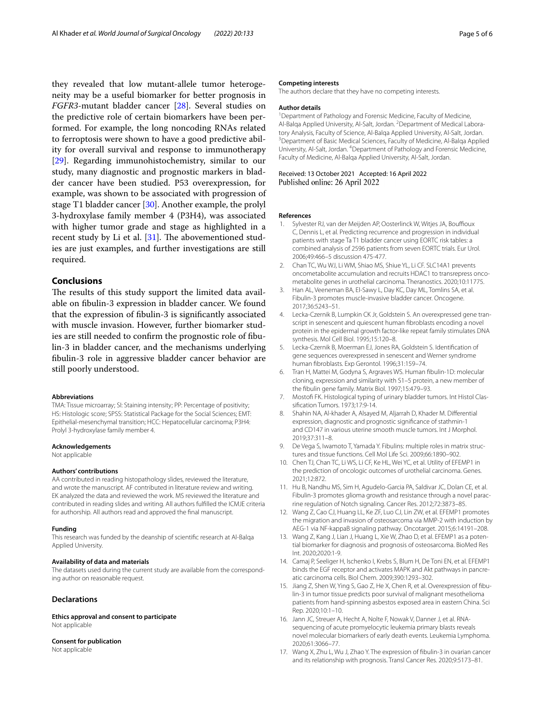they revealed that low mutant-allele tumor heterogeneity may be a useful biomarker for better prognosis in *FGFR3*-mutant bladder cancer [\[28](#page-5-10)]. Several studies on the predictive role of certain biomarkers have been performed. For example, the long noncoding RNAs related to ferroptosis were shown to have a good predictive ability for overall survival and response to immunotherapy [[29\]](#page-5-11). Regarding immunohistochemistry, similar to our study, many diagnostic and prognostic markers in bladder cancer have been studied. P53 overexpression, for example, was shown to be associated with progression of stage T1 bladder cancer [[30\]](#page-5-12). Another example, the prolyl 3-hydroxylase family member 4 (P3H4), was associated with higher tumor grade and stage as highlighted in a recent study by Li et al.  $[31]$  $[31]$ . The abovementioned studies are just examples, and further investigations are still required.

# **Conclusions**

The results of this study support the limited data available on fbulin-3 expression in bladder cancer. We found that the expression of fbulin-3 is signifcantly associated with muscle invasion. However, further biomarker studies are still needed to confrm the prognostic role of fbulin-3 in bladder cancer, and the mechanisms underlying fbulin-3 role in aggressive bladder cancer behavior are still poorly understood.

## **Abbreviations**

TMA: Tissue microarray; SI: Staining intensity; PP: Percentage of positivity; HS: Histologic score; SPSS: Statistical Package for the Social Sciences; EMT: Epithelial-mesenchymal transition; HCC: Hepatocellular carcinoma; P3H4: Prolyl 3-hydroxylase family member 4.

#### **Acknowledgements**

Not applicable

#### **Authors' contributions**

AA contributed in reading histopathology slides, reviewed the literature, and wrote the manuscript. AF contributed in literature review and writing. EK analyzed the data and reviewed the work. MS reviewed the literature and contributed in reading slides and writing. All authors fulflled the ICMJE criteria for authorship. All authors read and approved the fnal manuscript.

#### **Funding**

This research was funded by the deanship of scientifc research at Al-Balqa Applied University.

## **Availability of data and materials**

The datasets used during the current study are available from the corresponding author on reasonable request.

# **Declarations**

**Ethics approval and consent to participate** Not applicable

#### **Consent for publication**

Not applicable

#### **Competing interests**

The authors declare that they have no competing interests.

#### **Author details**

<sup>1</sup> Department of Pathology and Forensic Medicine, Faculty of Medicine, Al-Balqa Applied University, Al-Salt, Jordan. <sup>2</sup> Department of Medical Laboratory Analysis, Faculty of Science, Al-Balga Applied University, Al-Salt, Jordan. <sup>3</sup> Department of Basic Medical Sciences, Faculty of Medicine, Al-Balqa Applied University, Al-Salt, Jordan. <sup>4</sup> Department of Pathology and Forensic Medicine, Faculty of Medicine, Al-Balqa Applied University, Al-Salt, Jordan.

### Received: 13 October 2021 Accepted: 16 April 2022 Published online: 26 April 2022

#### **References**

- <span id="page-4-0"></span>1. Sylvester RJ, van der Meijden AP, Oosterlinck W, Witjes JA, Bouffioux C, Dennis L, et al. Predicting recurrence and progression in individual patients with stage Ta T1 bladder cancer using EORTC risk tables: a combined analysis of 2596 patients from seven EORTC trials. Eur Urol. 2006;49:466–5 discussion 475-477.
- <span id="page-4-1"></span>2. Chan TC, Wu WJ, Li WM, Shiao MS, Shiue YL, Li CF. SLC14A1 prevents oncometabolite accumulation and recruits HDAC1 to transrepress onco‑ metabolite genes in urothelial carcinoma. Theranostics. 2020;10:11775.
- <span id="page-4-2"></span>3. Han AL, Veeneman BA, El-Sawy L, Day KC, Day ML, Tomlins SA, et al. Fibulin-3 promotes muscle-invasive bladder cancer. Oncogene. 2017;36:5243–51.
- <span id="page-4-3"></span>4. Lecka-Czernik B, Lumpkin CK Jr, Goldstein S. An overexpressed gene transcript in senescent and quiescent human fbroblasts encoding a novel protein in the epidermal growth factor-like repeat family stimulates DNA synthesis. Mol Cell Biol. 1995;15:120–8.
- <span id="page-4-4"></span>5. Lecka-Czernik B, Moerman EJ, Jones RA, Goldstein S. Identifcation of gene sequences overexpressed in senescent and Werner syndrome human fbroblasts. Exp Gerontol. 1996;31:159–74.
- <span id="page-4-5"></span>6. Tran H, Mattei M, Godyna S, Argraves WS. Human fbulin-1D: molecular cloning, expression and similarity with S1–5 protein, a new member of the fbulin gene family. Matrix Biol. 1997;15:479–93.
- <span id="page-4-6"></span>7. Mostofi FK. Histological typing of urinary bladder tumors. Int Histol Classifcation Tumors. 1973;17:9-14.
- <span id="page-4-7"></span>8. Shahin NA, Al-khader A, Alsayed M, Aljarrah D, Khader M. Diferential expression, diagnostic and prognostic signifcance of stathmin-1 and CD147 in various uterine smooth muscle tumors. Int J Morphol. 2019;37:311–8.
- <span id="page-4-8"></span>9. De Vega S, Iwamoto T, Yamada Y. Fibulins: multiple roles in matrix structures and tissue functions. Cell Mol Life Sci. 2009;66:1890–902.
- <span id="page-4-9"></span>10. Chen TJ, Chan TC, Li WS, Li CF, Ke HL, Wei YC, et al. Utility of EFEMP1 in the prediction of oncologic outcomes of urothelial carcinoma. Genes. 2021;12:872.
- <span id="page-4-10"></span>11. Hu B, Nandhu MS, Sim H, Agudelo-Garcia PA, Saldivar JC, Dolan CE, et al. Fibulin-3 promotes glioma growth and resistance through a novel parac‑ rine regulation of Notch signaling. Cancer Res. 2012;72:3873–85.
- <span id="page-4-11"></span>12. Wang Z, Cao CJ, Huang LL, Ke ZF, Luo CJ, Lin ZW, et al. EFEMP1 promotes the migration and invasion of osteosarcoma via MMP-2 with induction by AEG-1 via NF-kappaB signaling pathway. Oncotarget. 2015;6:14191–208.
- <span id="page-4-12"></span>13. Wang Z, Kang J, Lian J, Huang L, Xie W, Zhao D, et al. EFEMP1 as a potential biomarker for diagnosis and prognosis of osteosarcoma. BioMed Res Int. 2020;2020:1-9.
- <span id="page-4-13"></span>14. Camaj P, Seeliger H, Ischenko I, Krebs S, Blum H, De Toni EN, et al. EFEMP1 binds the EGF receptor and activates MAPK and Akt pathways in pancreatic carcinoma cells. Biol Chem. 2009;390:1293–302.
- <span id="page-4-14"></span>15. Jiang Z, Shen W, Ying S, Gao Z, He X, Chen R, et al. Overexpression of fibulin-3 in tumor tissue predicts poor survival of malignant mesothelioma patients from hand-spinning asbestos exposed area in eastern China. Sci Rep. 2020;10:1–10.
- <span id="page-4-15"></span>16. Jann JC, Streuer A, Hecht A, Nolte F, Nowak V, Danner J, et al. RNAsequencing of acute promyelocytic leukemia primary blasts reveals novel molecular biomarkers of early death events. Leukemia Lymphoma. 2020;61:3066–77.
- <span id="page-4-16"></span>17. Wang X, Zhu L, Wu J, Zhao Y. The expression of fbulin-3 in ovarian cancer and its relationship with prognosis. Transl Cancer Res. 2020;9:5173–81.